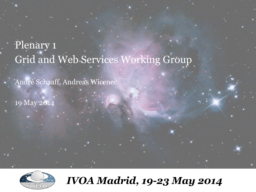# Plenary 1 Grid and Web Services Working Group

André Schaaff, Andreas Wicenec

19 May 2014



*IVOA Madrid, 19-23 May 2014*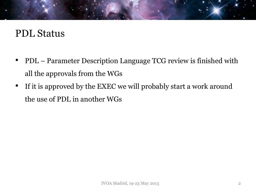#### PDL Status

- PDL Parameter Description Language TCG review is finished with all the approvals from the WGs
- If it is approved by the EXEC we will probably start a work around the use of PDL in another WGs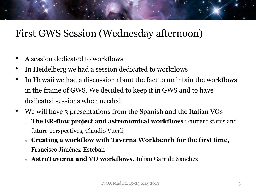#### First GWS Session (Wednesday afternoon)

- A session dedicated to workflows
- In Heidelberg we had a session dedicated to workflows
- In Hawaii we had a discussion about the fact to maintain the workflows in the frame of GWS. We decided to keep it in GWS and to have dedicated sessions when needed
- We will have 3 presentations from the Spanish and the Italian VOs <sup>o</sup> **The ER-flow project and astronomical workflows** : current status and
	- future perspectives, Claudio Vuerli
	- <sup>o</sup> **Creating a workflow with Taverna Workbench for the first time**, Francisco Jiménez-Esteban
	- <sup>o</sup> **AstroTaverna and VO workflows**, Julian Garrido Sanchez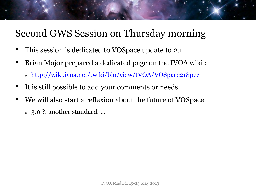### Second GWS Session on Thursday morning

- This session is dedicated to VOSpace update to 2.1
- Brian Major prepared a dedicated page on the IVOA wiki :
	- <sup>o</sup> http://wiki.ivoa.net/twiki/bin/view/IVOA/VOSpace21Spec
- It is still possible to add your comments or needs
- We will also start a reflexion about the future of VOSpace
	- <sup>o</sup> 3.0 ?, another standard, …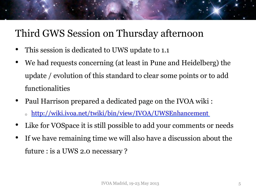#### Third GWS Session on Thursday afternoon

- This session is dedicated to UWS update to 1.1
- We had requests concerning (at least in Pune and Heidelberg) the update / evolution of this standard to clear some points or to add functionalities
- Paul Harrison prepared a dedicated page on the IVOA wiki :
	- <sup>o</sup> http://wiki.ivoa.net/twiki/bin/view/IVOA/UWSEnhancement
- Like for VOSpace it is still possible to add your comments or needs
- If we have remaining time we will also have a discussion about the future : is a UWS 2.0 necessary ?